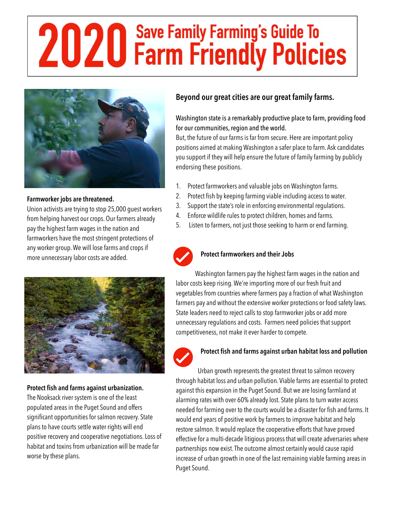# **2020** Save Family Farming's Guide To



## **Farmworker jobs are threatened.**

Union activists are trying to stop 25,000 guest workers from helping harvest our crops. Our farmers already pay the highest farm wages in the nation and farmworkers have the most stringent protections of any worker group. We will lose farms and crops if more unnecessary labor costs are added.



### **Protect fish and farms against urbanization.**

The Nooksack river system is one of the least populated areas in the Puget Sound and offers significant opportunities for salmon recovery. State plans to have courts settle water rights will end positive recovery and cooperative negotiations. Loss of habitat and toxins from urbanization will be made far worse by these plans.

# **Beyond our great cities are our great family farms.**

# Washington state is a remarkably productive place to farm, providing food for our communities, region and the world.

But, the future of our farms is far from secure. Here are important policy positions aimed at making Washington a safer place to farm. Ask candidates you support if they will help ensure the future of family farming by publicly endorsing these positions.

- 1. Protect farmworkers and valuable jobs on Washington farms.
- 2. Protect fish by keeping farming viable including access to water.
- 3. Support the state's role in enforcing environmental regulations.
- 4. Enforce wildlife rules to protect children, homes and farms.
- 5. Listen to farmers, not just those seeking to harm or end farming.



### **Protect farmworkers and their Jobs**

Washington farmers pay the highest farm wages in the nation and labor costs keep rising. We're importing more of our fresh fruit and vegetables from countries where farmers pay a fraction of what Washington farmers pay and without the extensive worker protections or food safety laws. State leaders need to reject calls to stop farmworker jobs or add more unnecessary regulations and costs. Farmers need policies that support competitiveness, not make it ever harder to compete.



### **Protect fish and farms against urban habitat loss and pollution**

Urban growth represents the greatest threat to salmon recovery through habitat loss and urban pollution. Viable farms are essential to protect against this expansion in the Puget Sound. But we are losing farmland at alarming rates with over 60% already lost. State plans to turn water access needed for farming over to the courts would be a disaster for fish and farms. It would end years of positive work by farmers to improve habitat and help restore salmon. It would replace the cooperative efforts that have proved effective for a multi-decade litigious process that will create adversaries where partnerships now exist. The outcome almost certainly would cause rapid increase of urban growth in one of the last remaining viable farming areas in Puget Sound.